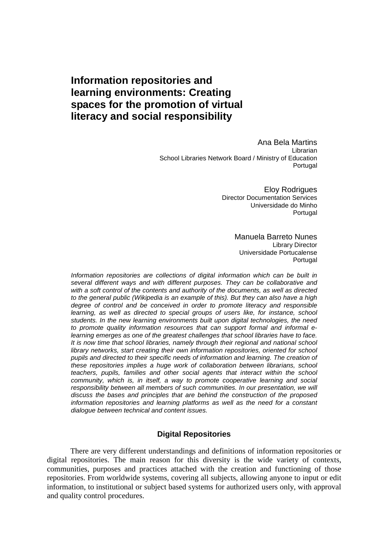# **Information repositories and learning environments: Creating spaces for the promotion of virtual literacy and social responsibility**

Ana Bela Martins Librarian School Libraries Network Board / Ministry of Education Portugal

> Eloy Rodrigues Director Documentation Services Universidade do Minho **Portugal**

#### Manuela Barreto Nunes Library Director Universidade Portucalense **Portugal**

Information repositories are collections of digital information which can be built in several different ways and with different purposes. They can be collaborative and with a soft control of the contents and authority of the documents, as well as directed to the general public (Wikipedia is an example of this). But they can also have a high degree of control and be conceived in order to promote literacy and responsible learning, as well as directed to special groups of users like, for instance, school students. In the new learning environments built upon digital technologies, the need to promote quality information resources that can support formal and informal elearning emerges as one of the greatest challenges that school libraries have to face. It is now time that school libraries, namely through their regional and national school library networks, start creating their own information repositories, oriented for school pupils and directed to their specific needs of information and learning. The creation of these repositories implies a huge work of collaboration between librarians, school teachers, pupils, families and other social agents that interact within the school community, which is, in itself, a way to promote cooperative learning and social responsibility between all members of such communities. In our presentation, we will discuss the bases and principles that are behind the construction of the proposed information repositories and learning platforms as well as the need for a constant dialogue between technical and content issues.

# **Digital Repositories**

There are very different understandings and definitions of information repositories or digital repositories. The main reason for this diversity is the wide variety of contexts, communities, purposes and practices attached with the creation and functioning of those repositories. From worldwide systems, covering all subjects, allowing anyone to input or edit information, to institutional or subject based systems for authorized users only, with approval and quality control procedures.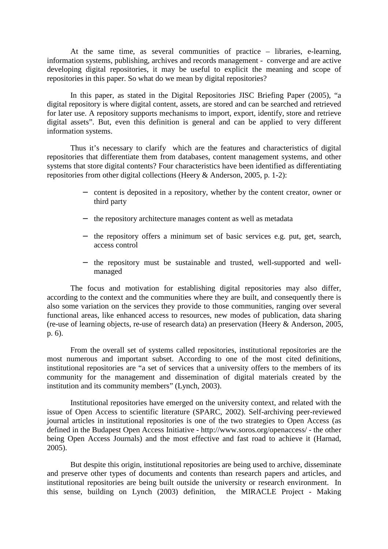At the same time, as several communities of practice – libraries, e-learning, information systems, publishing, archives and records management - converge and are active developing digital repositories, it may be useful to explicit the meaning and scope of repositories in this paper. So what do we mean by digital repositories?

In this paper, as stated in the Digital Repositories JISC Briefing Paper (2005), "a digital repository is where digital content, assets, are stored and can be searched and retrieved for later use. A repository supports mechanisms to import, export, identify, store and retrieve digital assets". But, even this definition is general and can be applied to very different information systems.

Thus it's necessary to clarify which are the features and characteristics of digital repositories that differentiate them from databases, content management systems, and other systems that store digital contents? Four characteristics have been identified as differentiating repositories from other digital collections (Heery & Anderson, 2005, p. 1-2):

- − content is deposited in a repository, whether by the content creator, owner or third party
- − the repository architecture manages content as well as metadata
- − the repository offers a minimum set of basic services e.g. put, get, search, access control
- − the repository must be sustainable and trusted, well-supported and wellmanaged

The focus and motivation for establishing digital repositories may also differ, according to the context and the communities where they are built, and consequently there is also some variation on the services they provide to those communities, ranging over several functional areas, like enhanced access to resources, new modes of publication, data sharing (re-use of learning objects, re-use of research data) an preservation (Heery & Anderson, 2005, p. 6).

From the overall set of systems called repositories, institutional repositories are the most numerous and important subset. According to one of the most cited definitions, institutional repositories are "a set of services that a university offers to the members of its community for the management and dissemination of digital materials created by the institution and its community members" (Lynch, 2003).

Institutional repositories have emerged on the university context, and related with the issue of Open Access to scientific literature (SPARC, 2002). Self-archiving peer-reviewed journal articles in institutional repositories is one of the two strategies to Open Access (as defined in the Budapest Open Access Initiative - http://www.soros.org/openaccess/ - the other being Open Access Journals) and the most effective and fast road to achieve it (Harnad, 2005).

But despite this origin, institutional repositories are being used to archive, disseminate and preserve other types of documents and contents than research papers and articles, and institutional repositories are being built outside the university or research environment. In this sense, building on Lynch (2003) definition, the MIRACLE Project - Making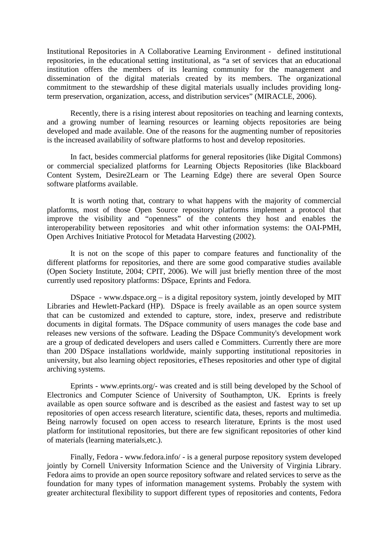Institutional Repositories in A Collaborative Learning Environment - defined institutional repositories, in the educational setting institutional, as "a set of services that an educational institution offers the members of its learning community for the management and dissemination of the digital materials created by its members. The organizational commitment to the stewardship of these digital materials usually includes providing longterm preservation, organization, access, and distribution services" (MIRACLE, 2006).

Recently, there is a rising interest about repositories on teaching and learning contexts, and a growing number of learning resources or learning objects repositories are being developed and made available. One of the reasons for the augmenting number of repositories is the increased availability of software platforms to host and develop repositories.

In fact, besides commercial platforms for general repositories (like Digital Commons) or commercial specialized platforms for Learning Objects Repositories (like Blackboard Content System, Desire2Learn or The Learning Edge) there are several Open Source software platforms available.

It is worth noting that, contrary to what happens with the majority of commercial platforms, most of those Open Source repository platforms implement a protocol that improve the visibility and "openness" of the contents they host and enables the interoperability between repositories and whit other information systems: the OAI-PMH, Open Archives Initiative Protocol for Metadata Harvesting (2002).

It is not on the scope of this paper to compare features and functionality of the different platforms for repositories, and there are some good comparative studies available (Open Society Institute, 2004; CPIT, 2006). We will just briefly mention three of the most currently used repository platforms: DSpace, Eprints and Fedora.

DSpace - www.dspace.org – is a digital repository system, jointly developed by MIT Libraries and Hewlett-Packard (HP). DSpace is freely available as an open source system that can be customized and extended to capture, store, index, preserve and redistribute documents in digital formats. The DSpace community of users manages the code base and releases new versions of the software. Leading the DSpace Community's development work are a group of dedicated developers and users called e Committers. Currently there are more than 200 DSpace installations worldwide, mainly supporting institutional repositories in university, but also learning object repositories, eTheses repositories and other type of digital archiving systems.

Eprints - www.eprints.org/- was created and is still being developed by the School of Electronics and Computer Science of University of Southampton, UK. Eprints is freely available as open source software and is described as the easiest and fastest way to set up repositories of open access research literature, scientific data, theses, reports and multimedia. Being narrowly focused on open access to research literature, Eprints is the most used platform for institutional repositories, but there are few significant repositories of other kind of materials (learning materials,etc.).

Finally, Fedora - www.fedora.info/ - is a general purpose repository system developed jointly by Cornell University Information Science and the University of Virginia Library. Fedora aims to provide an open source repository software and related services to serve as the foundation for many types of information management systems. Probably the system with greater architectural flexibility to support different types of repositories and contents, Fedora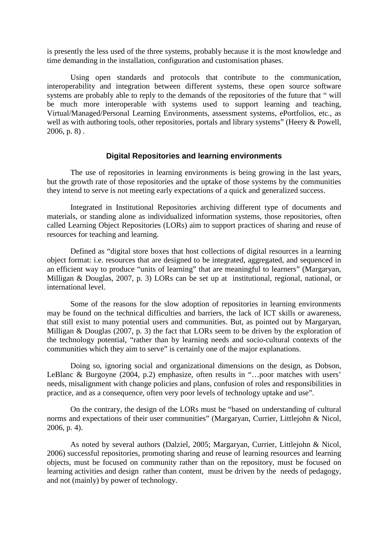is presently the less used of the three systems, probably because it is the most knowledge and time demanding in the installation, configuration and customisation phases.

Using open standards and protocols that contribute to the communication, interoperability and integration between different systems, these open source software systems are probably able to reply to the demands of the repositories of the future that " will be much more interoperable with systems used to support learning and teaching, Virtual/Managed/Personal Learning Environments, assessment systems, ePortfolios, etc., as well as with authoring tools, other repositories, portals and library systems" (Heery & Powell, 2006, p. 8) .

## **Digital Repositories and learning environments**

The use of repositories in learning environments is being growing in the last years, but the growth rate of those repositories and the uptake of those systems by the communities they intend to serve is not meeting early expectations of a quick and generalized success.

Integrated in Institutional Repositories archiving different type of documents and materials, or standing alone as individualized information systems, those repositories, often called Learning Object Repositories (LORs) aim to support practices of sharing and reuse of resources for teaching and learning.

Defined as "digital store boxes that host collections of digital resources in a learning object format: i.e. resources that are designed to be integrated, aggregated, and sequenced in an efficient way to produce "units of learning" that are meaningful to learners" (Margaryan, Milligan & Douglas, 2007, p. 3) LORs can be set up at institutional, regional, national, or international level.

Some of the reasons for the slow adoption of repositories in learning environments may be found on the technical difficulties and barriers, the lack of ICT skills or awareness, that still exist to many potential users and communities. But, as pointed out by Margaryan, Milligan & Douglas (2007, p. 3) the fact that LORs seem to be driven by the exploration of the technology potential, "rather than by learning needs and socio-cultural contexts of the communities which they aim to serve" is certainly one of the major explanations.

Doing so, ignoring social and organizational dimensions on the design, as Dobson, LeBlanc & Burgoyne (2004, p.2) emphasize, often results in "…poor matches with users' needs, misalignment with change policies and plans, confusion of roles and responsibilities in practice, and as a consequence, often very poor levels of technology uptake and use".

On the contrary, the design of the LORs must be "based on understanding of cultural norms and expectations of their user communities" (Margaryan, Currier, Littlejohn & Nicol, 2006, p. 4).

As noted by several authors (Dalziel, 2005; Margaryan, Currier, Littlejohn & Nicol, 2006) successful repositories, promoting sharing and reuse of learning resources and learning objects, must be focused on community rather than on the repository, must be focused on learning activities and design rather than content, must be driven by the needs of pedagogy, and not (mainly) by power of technology.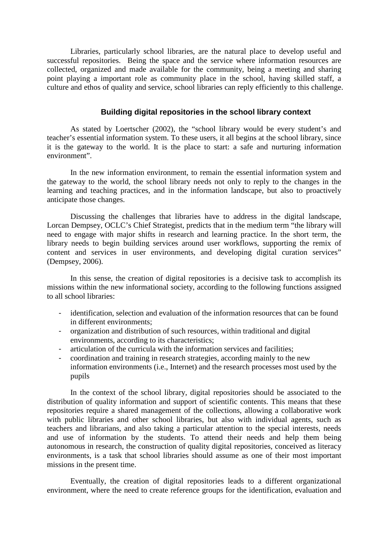Libraries, particularly school libraries, are the natural place to develop useful and successful repositories. Being the space and the service where information resources are collected, organized and made available for the community, being a meeting and sharing point playing a important role as community place in the school, having skilled staff, a culture and ethos of quality and service, school libraries can reply efficiently to this challenge.

## **Building digital repositories in the school library context**

As stated by Loertscher (2002), the "school library would be every student's and teacher's essential information system. To these users, it all begins at the school library, since it is the gateway to the world. It is the place to start: a safe and nurturing information environment".

In the new information environment, to remain the essential information system and the gateway to the world, the school library needs not only to reply to the changes in the learning and teaching practices, and in the information landscape, but also to proactively anticipate those changes.

Discussing the challenges that libraries have to address in the digital landscape, Lorcan Dempsey, OCLC's Chief Strategist, predicts that in the medium term "the library will need to engage with major shifts in research and learning practice. In the short term, the library needs to begin building services around user workflows, supporting the remix of content and services in user environments, and developing digital curation services" (Dempsey, 2006).

In this sense, the creation of digital repositories is a decisive task to accomplish its missions within the new informational society, according to the following functions assigned to all school libraries:

- identification, selection and evaluation of the information resources that can be found in different environments;
- organization and distribution of such resources, within traditional and digital environments, according to its characteristics;
- articulation of the curricula with the information services and facilities;
- coordination and training in research strategies, according mainly to the new information environments (i.e., Internet) and the research processes most used by the pupils

In the context of the school library, digital repositories should be associated to the distribution of quality information and support of scientific contents. This means that these repositories require a shared management of the collections, allowing a collaborative work with public libraries and other school libraries, but also with individual agents, such as teachers and librarians, and also taking a particular attention to the special interests, needs and use of information by the students. To attend their needs and help them being autonomous in research, the construction of quality digital repositories, conceived as literacy environments, is a task that school libraries should assume as one of their most important missions in the present time.

Eventually, the creation of digital repositories leads to a different organizational environment, where the need to create reference groups for the identification, evaluation and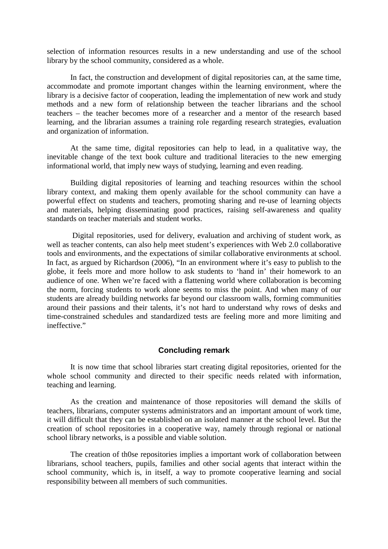selection of information resources results in a new understanding and use of the school library by the school community, considered as a whole.

In fact, the construction and development of digital repositories can, at the same time, accommodate and promote important changes within the learning environment, where the library is a decisive factor of cooperation, leading the implementation of new work and study methods and a new form of relationship between the teacher librarians and the school teachers – the teacher becomes more of a researcher and a mentor of the research based learning, and the librarian assumes a training role regarding research strategies, evaluation and organization of information.

At the same time, digital repositories can help to lead, in a qualitative way, the inevitable change of the text book culture and traditional literacies to the new emerging informational world, that imply new ways of studying, learning and even reading.

Building digital repositories of learning and teaching resources within the school library context, and making them openly available for the school community can have a powerful effect on students and teachers, promoting sharing and re-use of learning objects and materials, helping disseminating good practices, raising self-awareness and quality standards on teacher materials and student works.

 Digital repositories, used for delivery, evaluation and archiving of student work, as well as teacher contents, can also help meet student's experiences with Web 2.0 collaborative tools and environments, and the expectations of similar collaborative environments at school. In fact, as argued by Richardson (2006), "In an environment where it's easy to publish to the globe, it feels more and more hollow to ask students to 'hand in' their homework to an audience of one. When we're faced with a flattening world where collaboration is becoming the norm, forcing students to work alone seems to miss the point. And when many of our students are already building networks far beyond our classroom walls, forming communities around their passions and their talents, it's not hard to understand why rows of desks and time-constrained schedules and standardized tests are feeling more and more limiting and ineffective."

## **Concluding remark**

It is now time that school libraries start creating digital repositories, oriented for the whole school community and directed to their specific needs related with information, teaching and learning.

As the creation and maintenance of those repositories will demand the skills of teachers, librarians, computer systems administrators and an important amount of work time, it will difficult that they can be established on an isolated manner at the school level. But the creation of school repositories in a cooperative way, namely through regional or national school library networks, is a possible and viable solution.

The creation of th0se repositories implies a important work of collaboration between librarians, school teachers, pupils, families and other social agents that interact within the school community, which is, in itself, a way to promote cooperative learning and social responsibility between all members of such communities.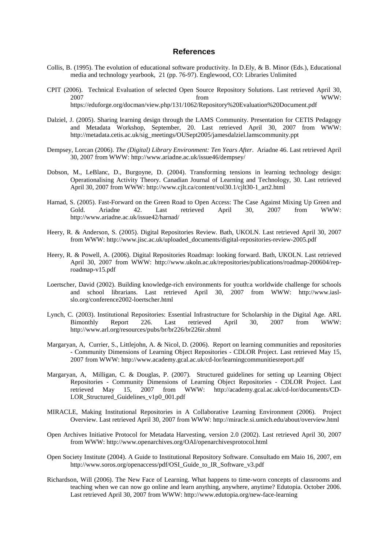#### **References**

- Collis, B. (1995). The evolution of educational software productivity. In D.Ely, & B. Minor (Eds.), Educational media and technology yearbook, 21 (pp. 76-97). Englewood, CO: Libraries Unlimited
- CPIT (2006). Technical Evaluation of selected Open Source Repository Solutions. Last retrieved April 30, 2007 from WWW: https://eduforge.org/docman/view.php/131/1062/Repository%20Evaluation%20Document.pdf
- Dalziel, J. (2005). Sharing learning design through the LAMS Community. Presentation for CETIS Pedagogy and Metadata Workshop, September, 20. Last retrieved April 30, 2007 from WWW: http://metadata.cetis.ac.uk/sig\_meetings/OUSept2005/jamesdalziel.lamscommunity.ppt
- Dempsey, Lorcan (2006). *The (Digital) Library Environment: Ten Years After*. Ariadne 46. Last retrieved April 30, 2007 from WWW: http://www.ariadne.ac.uk/issue46/dempsey/
- Dobson, M., LeBlanc, D., Burgoyne, D. (2004). Transforming tensions in learning technology design: Operationalising Activity Theory. Canadian Journal of Learning and Technology, 30. Last retrieved April 30, 2007 from WWW: http://www.cjlt.ca/content/vol30.1/cjlt30-1\_art2.html
- Harnad, S. (2005). Fast-Forward on the Green Road to Open Access: The Case Against Mixing Up Green and Gold. Ariadne 42. Last retrieved April 30, 2007 from WWW: http://www.ariadne.ac.uk/issue42/harnad/
- Heery, R. & Anderson, S. (2005). Digital Repositories Review. Bath, UKOLN. Last retrieved April 30, 2007 from WWW: http://www.jisc.ac.uk/uploaded\_documents/digital-repositories-review-2005.pdf
- Heery, R. & Powell, A. (2006). Digital Repositories Roadmap: looking forward. Bath, UKOLN. Last retrieved April 30, 2007 from WWW: http://www.ukoln.ac.uk/repositories/publications/roadmap-200604/reproadmap-v15.pdf
- Loertscher, David (2002). Building knowledge-rich environments for youth:a worldwide challenge for schools and school librarians. Last retrieved April 30, 2007 from WWW: http://www.iaslslo.org/conference2002-loertscher.html
- Lynch, C. (2003). Institutional Repositories: Essential Infrastructure for Scholarship in the Digital Age. ARL Bimonthly Report 226. Last retrieved April 30, 2007 from WWW: http://www.arl.org/resources/pubs/br/br226/br226ir.shtml
- Margaryan, A, Currier, S., Littlejohn, A. & Nicol, D. (2006). Report on learning communities and repositories - Community Dimensions of Learning Object Repositories - CDLOR Project. Last retrieved May 15, 2007 from WWW: http://www.academy.gcal.ac.uk/cd-lor/learningcommunitiesreport.pdf
- Margaryan, A, Milligan, C. & Douglas, P. (2007). Structured guidelines for setting up Learning Object Repositories - Community Dimensions of Learning Object Repositories - CDLOR Project. Last retrieved May 15, 2007 from WWW: http://academy.gcal.ac.uk/cd-lor/documents/CD-LOR Structured Guidelines v1p0 001.pdf
- MIRACLE, Making Institutional Repositories in A Collaborative Learning Environment (2006). Project Overview. Last retrieved April 30, 2007 from WWW: http://miracle.si.umich.edu/about/overview.html
- Open Archives Initiative Protocol for Metadata Harvesting, version 2.0 (2002). Last retrieved April 30, 2007 from WWW: http://www.openarchives.org/OAI/openarchivesprotocol.html
- Open Society Institute (2004). A Guide to Institutional Repository Software. Consultado em Maio 16, 2007, em http://www.soros.org/openaccess/pdf/OSI\_Guide\_to\_IR\_Software\_v3.pdf
- Richardson, Will (2006). The New Face of Learning. What happens to time-worn concepts of classrooms and teaching when we can now go online and learn anything, anywhere, anytime? Edutopia. October 2006. Last retrieved April 30, 2007 from WWW: http://www.edutopia.org/new-face-learning